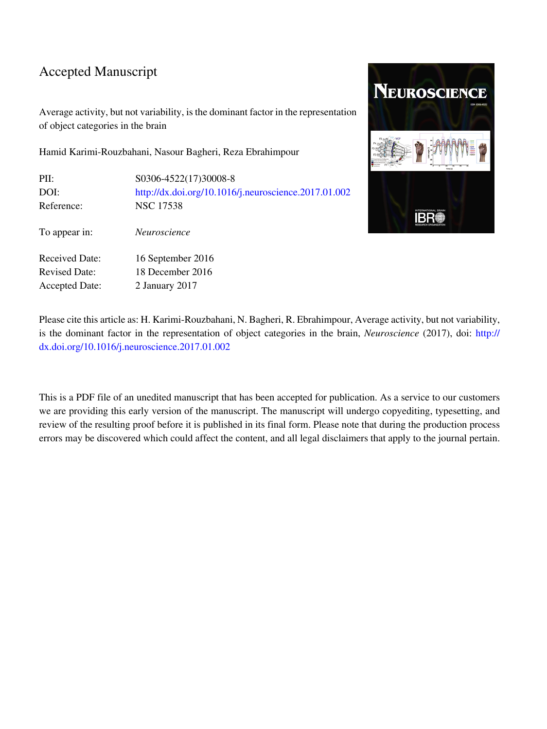### Accepted Manuscript

Average activity, but not variability, is the dominant factor in the representation of object categories in the brain

Hamid Karimi-Rouzbahani, Nasour Bagheri, Reza Ebrahimpour

| S0306-4522(17)30008-8                                |
|------------------------------------------------------|
| http://dx.doi.org/10.1016/j.neuroscience.2017.01.002 |
| <b>NSC 17538</b>                                     |
| <i>Neuroscience</i>                                  |
| 16 September 2016                                    |
| 18 December 2016                                     |
| 2 January 2017                                       |
|                                                      |



Please cite this article as: H. Karimi-Rouzbahani, N. Bagheri, R. Ebrahimpour, Average activity, but not variability, is the dominant factor in the representation of object categories in the brain, *Neuroscience* (2017), doi: [http://](http://dx.doi.org/10.1016/j.neuroscience.2017.01.002) [dx.doi.org/10.1016/j.neuroscience.2017.01.002](http://dx.doi.org/10.1016/j.neuroscience.2017.01.002)

This is a PDF file of an unedited manuscript that has been accepted for publication. As a service to our customers we are providing this early version of the manuscript. The manuscript will undergo copyediting, typesetting, and review of the resulting proof before it is published in its final form. Please note that during the production process errors may be discovered which could affect the content, and all legal disclaimers that apply to the journal pertain.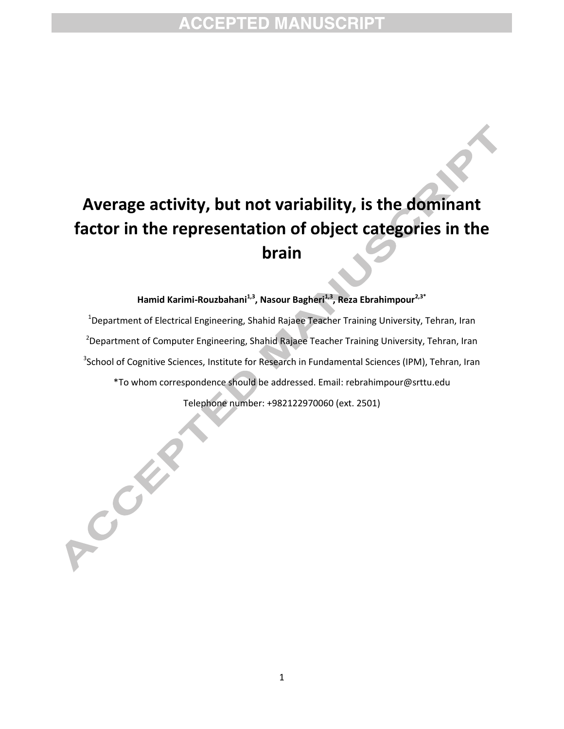# **Average activity, but not variability, is the dominant factor in the representation of object categories in the brain**

**Hamid Karimi-Rouzbahani1,3 , Nasour Bagheri1,3 , Reza Ebrahimpour2,3\***

<sup>1</sup>Department of Electrical Engineering, Shahid Rajaee Teacher Training University, Tehran, Iran <sup>2</sup>Department of Computer Engineering, Shahid Rajaee Teacher Training University, Tehran, Iran <sup>3</sup>School of Cognitive Sciences, Institute for Research in Fundamental Sciences (IPM), Tehran, Iran \*To whom correspondence should be addressed. Email: [rebrahimpour@s](mailto:ebrahimpour@)rttu.edu Telephone number: +982122970060 (ext. 2501)

A COM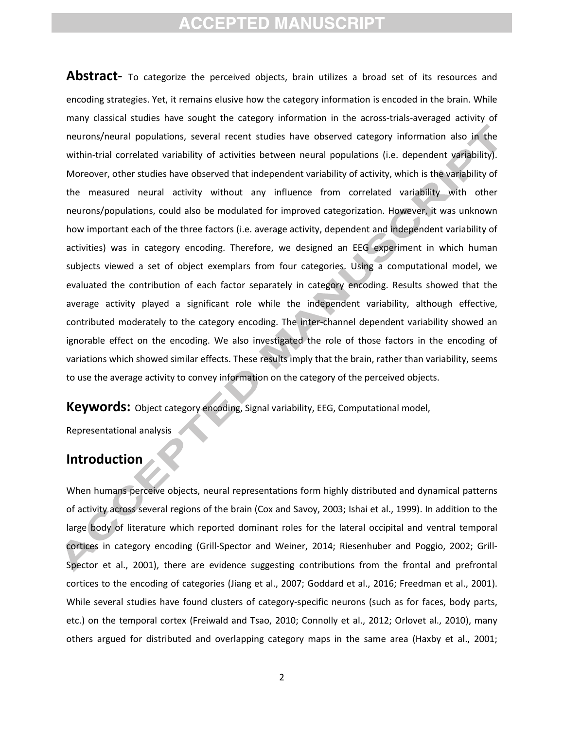**Abstract-** To categorize the perceived objects, brain utilizes a broad set of its resources and encoding strategies. Yet, it remains elusive how the category information is encoded in the brain. While many classical studies have sought the category information in the across-trials-averaged activity of neurons/neural populations, several recent studies have observed category information also in the within-trial correlated variability of activities between neural populations (i.e. dependent variability). Moreover, other studies have observed that independent variability of activity, which is the variability of the measured neural activity without any influence from correlated variability with other neurons/populations, could also be modulated for improved categorization. However, it was unknown how important each of the three factors (i.e. average activity, dependent and independent variability of activities) was in category encoding. Therefore, we designed an EEG experiment in which human subjects viewed a set of object exemplars from four categories. Using a computational model, we evaluated the contribution of each factor separately in category encoding. Results showed that the average activity played a significant role while the independent variability, although effective, contributed moderately to the category encoding. The inter-channel dependent variability showed an ignorable effect on the encoding. We also investigated the role of those factors in the encoding of variations which showed similar effects. These results imply that the brain, rather than variability, seems to use the average activity to convey information on the category of the perceived objects.

**Keywords:** Object category encoding, Signal variability, EEG, Computational model,

Representational analysis

### **Introduction**

When humans perceive objects, neural representations form highly distributed and dynamical patterns of activity across several regions of the brain (Cox and Savoy, 2003; Ishai et al., 1999). In addition to the large body of literature which reported dominant roles for the lateral occipital and ventral temporal cortices in category encoding (Grill-Spector and Weiner, 2014; Riesenhuber and Poggio, 2002; Grill-Spector et al., 2001), there are evidence suggesting contributions from the frontal and prefrontal cortices to the encoding of categories (Jiang et al., 2007; Goddard et al., 2016; Freedman et al., 2001). While several studies have found clusters of category-specific neurons (such as for faces, body parts, etc.) on the temporal cortex (Freiwald and Tsao, 2010; Connolly et al., 2012; Orlovet al., 2010), many others argued for distributed and overlapping category maps in the same area (Haxby et al., 2001;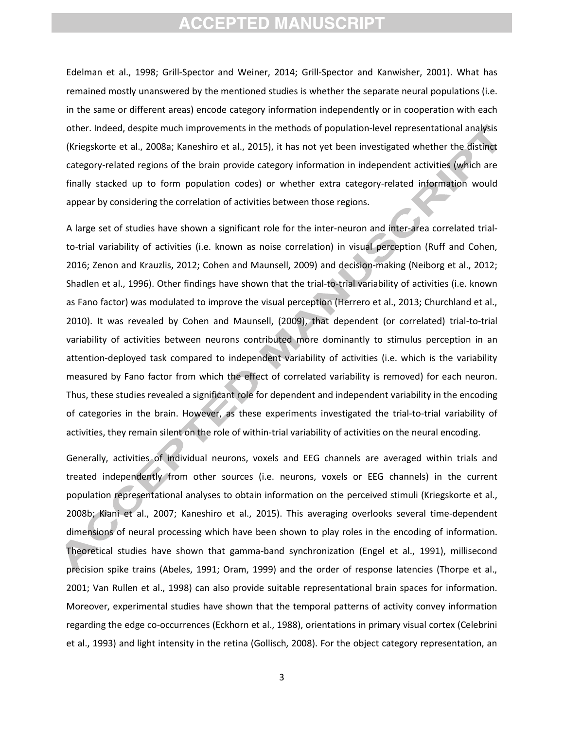Edelman et al., 1998; Grill-Spector and Weiner, 2014; Grill-Spector and Kanwisher, 2001). What has remained mostly unanswered by the mentioned studies is whether the separate neural populations (i.e. in the same or different areas) encode category information independently or in cooperation with each other. Indeed, despite much improvements in the methods of population-level representational analysis (Kriegskorte et al., 2008a; Kaneshiro et al., 2015), it has not yet been investigated whether the distinct category-related regions of the brain provide category information in independent activities (which are finally stacked up to form population codes) or whether extra category-related information would appear by considering the correlation of activities between those regions.

A large set of studies have shown a significant role for the inter-neuron and inter-area correlated trialto-trial variability of activities (i.e. known as noise correlation) in visual perception (Ruff and Cohen, 2016; Zenon and Krauzlis, 2012; Cohen and Maunsell, 2009) and decision-making (Neiborg et al., 2012; Shadlen et al., 1996). Other findings have shown that the trial-to-trial variability of activities (i.e. known as Fano factor) was modulated to improve the visual perception (Herrero et al., 2013; Churchland et al., 2010). It was revealed by Cohen and Maunsell, (2009), that dependent (or correlated) trial-to-trial variability of activities between neurons contributed more dominantly to stimulus perception in an attention-deployed task compared to independent variability of activities (i.e. which is the variability measured by Fano factor from which the effect of correlated variability is removed) for each neuron. Thus, these studies revealed a significant role for dependent and independent variability in the encoding of categories in the brain. However, as these experiments investigated the trial-to-trial variability of activities, they remain silent on the role of within-trial variability of activities on the neural encoding.

Generally, activities of individual neurons, voxels and EEG channels are averaged within trials and treated independently from other sources (i.e. neurons, voxels or EEG channels) in the current population representational analyses to obtain information on the perceived stimuli (Kriegskorte et al., 2008b; Kiani et al., 2007; Kaneshiro et al., 2015). This averaging overlooks several time-dependent dimensions of neural processing which have been shown to play roles in the encoding of information. Theoretical studies have shown that gamma-band synchronization (Engel et al., 1991), millisecond precision spike trains (Abeles, 1991; Oram, 1999) and the order of response latencies (Thorpe et al., 2001; Van Rullen et al., 1998) can also provide suitable representational brain spaces for information. Moreover, experimental studies have shown that the temporal patterns of activity convey information regarding the edge co-occurrences (Eckhorn et al., 1988), orientations in primary visual cortex (Celebrini et al., 1993) and light intensity in the retina (Gollisch, 2008). For the object category representation, an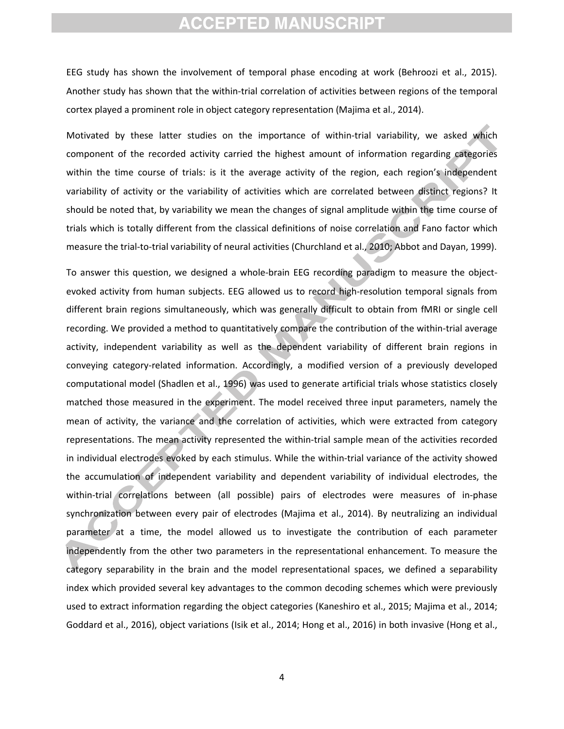EEG study has shown the involvement of temporal phase encoding at work (Behroozi et al., 2015). Another study has shown that the within-trial correlation of activities between regions of the temporal cortex played a prominent role in object category representation (Majima et al., 2014).

Motivated by these latter studies on the importance of within-trial variability, we asked which component of the recorded activity carried the highest amount of information regarding categories within the time course of trials: is it the average activity of the region, each region's independent variability of activity or the variability of activities which are correlated between distinct regions? It should be noted that, by variability we mean the changes of signal amplitude within the time course of trials which is totally different from the classical definitions of noise correlation and Fano factor which measure the trial-to-trial variability of neural activities (Churchland et al., 2010; Abbot and Dayan, 1999).

To answer this question, we designed a whole-brain EEG recording paradigm to measure the objectevoked activity from human subjects. EEG allowed us to record high-resolution temporal signals from different brain regions simultaneously, which was generally difficult to obtain from fMRI or single cell recording. We provided a method to quantitatively compare the contribution of the within-trial average activity, independent variability as well as the dependent variability of different brain regions in conveying category-related information. Accordingly, a modified version of a previously developed computational model (Shadlen et al., 1996) was used to generate artificial trials whose statistics closely matched those measured in the experiment. The model received three input parameters, namely the mean of activity, the variance and the correlation of activities, which were extracted from category representations. The mean activity represented the within-trial sample mean of the activities recorded in individual electrodes evoked by each stimulus. While the within-trial variance of the activity showed the accumulation of independent variability and dependent variability of individual electrodes, the within-trial correlations between (all possible) pairs of electrodes were measures of in-phase synchronization between every pair of electrodes (Majima et al., 2014). By neutralizing an individual parameter at a time, the model allowed us to investigate the contribution of each parameter independently from the other two parameters in the representational enhancement. To measure the category separability in the brain and the model representational spaces, we defined a separability index which provided several key advantages to the common decoding schemes which were previously used to extract information regarding the object categories (Kaneshiro et al., 2015; Majima et al., 2014; Goddard et al., 2016), object variations (Isik et al., 2014; Hong et al., 2016) in both invasive (Hong et al.,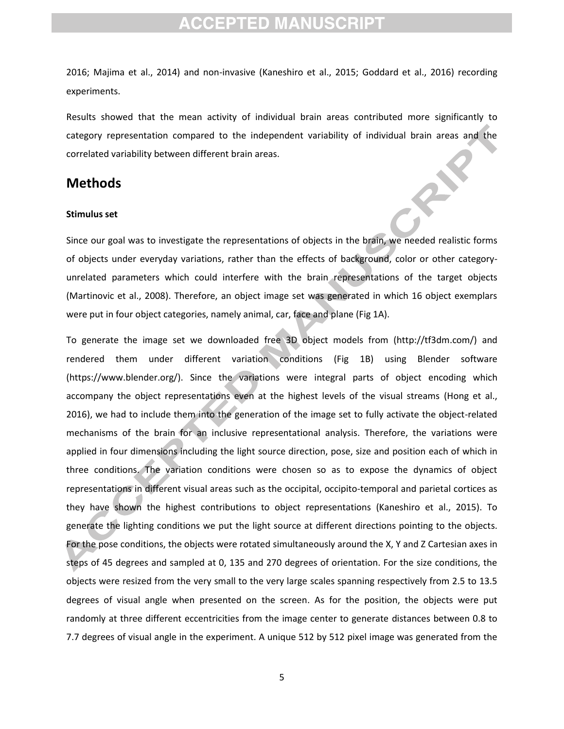2016; Majima et al., 2014) and non-invasive (Kaneshiro et al., 2015; Goddard et al., 2016) recording experiments.

Results showed that the mean activity of individual brain areas contributed more significantly to category representation compared to the independent variability of individual brain areas and the correlated variability between different brain areas.

### **Methods**

#### **Stimulus set**

Since our goal was to investigate the representations of objects in the brain, we needed realistic forms of objects under everyday variations, rather than the effects of background, color or other categoryunrelated parameters which could interfere with the brain representations of the target objects (Martinovic et al., 2008). Therefore, an object image set was generated in which 16 object exemplars were put in four object categories, namely animal, car, face and plane (Fig 1A).

To generate the image set we downloaded free 3D object models from [\(http://tf3dm.com/\)](http://tf3dm.com/) and rendered them under different variation conditions (Fig 1B) using Blender software [\(https://www.blender.org/\)](https://www.blender.org/). Since the variations were integral parts of object encoding which accompany the object representations even at the highest levels of the visual streams (Hong et al., 2016), we had to include them into the generation of the image set to fully activate the object-related mechanisms of the brain for an inclusive representational analysis. Therefore, the variations were applied in four dimensions including the light source direction, pose, size and position each of which in three conditions. The variation conditions were chosen so as to expose the dynamics of object representations in different visual areas such as the occipital, occipito-temporal and parietal cortices as they have shown the highest contributions to object representations (Kaneshiro et al., 2015). To generate the lighting conditions we put the light source at different directions pointing to the objects. For the pose conditions, the objects were rotated simultaneously around the X, Y and Z Cartesian axes in steps of 45 degrees and sampled at 0, 135 and 270 degrees of orientation. For the size conditions, the objects were resized from the very small to the very large scales spanning respectively from 2.5 to 13.5 degrees of visual angle when presented on the screen. As for the position, the objects were put randomly at three different eccentricities from the image center to generate distances between 0.8 to 7.7 degrees of visual angle in the experiment. A unique 512 by 512 pixel image was generated from the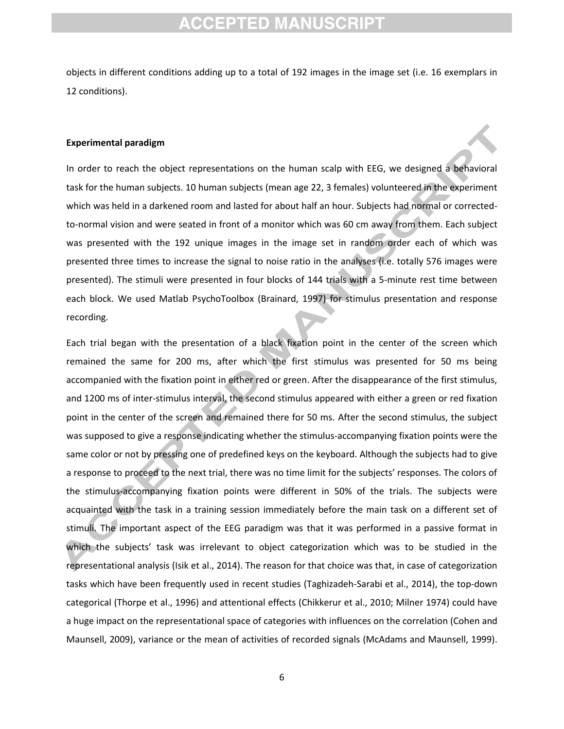objects in different conditions adding up to a total of 192 images in the image set (i.e. 16 exemplars in 12 conditions).

#### **Experimental paradigm**

In order to reach the object representations on the human scalp with EEG, we designed a behavioral task for the human subjects. 10 human subjects (mean age 22, 3 females) volunteered in the experiment which was held in a darkened room and lasted for about half an hour. Subjects had normal or correctedto-normal vision and were seated in front of a monitor which was 60 cm away from them. Each subject was presented with the 192 unique images in the image set in random order each of which was presented three times to increase the signal to noise ratio in the analyses (i.e. totally 576 images were presented). The stimuli were presented in four blocks of 144 trials with a 5-minute rest time between each block. We used Matlab PsychoToolbox (Brainard, 1997) for stimulus presentation and response recording.

Each trial began with the presentation of a black fixation point in the center of the screen which remained the same for 200 ms, after which the first stimulus was presented for 50 ms being accompanied with the fixation point in either red or green. After the disappearance of the first stimulus, and 1200 ms of inter-stimulus interval, the second stimulus appeared with either a green or red fixation point in the center of the screen and remained there for 50 ms. After the second stimulus, the subject was supposed to give a response indicating whether the stimulus-accompanying fixation points were the same color or not by pressing one of predefined keys on the keyboard. Although the subjects had to give a response to proceed to the next trial, there was no time limit for the subjects' responses. The colors of the stimulus-accompanying fixation points were different in 50% of the trials. The subjects were acquainted with the task in a training session immediately before the main task on a different set of stimuli. The important aspect of the EEG paradigm was that it was performed in a passive format in which the subjects' task was irrelevant to object categorization which was to be studied in the representational analysis (Isik et al., 2014). The reason for that choice was that, in case of categorization tasks which have been frequently used in recent studies (Taghizadeh-Sarabi et al., 2014), the top-down categorical (Thorpe et al., 1996) and attentional effects (Chikkerur et al., 2010; Milner 1974) could have a huge impact on the representational space of categories with influences on the correlation (Cohen and Maunsell, 2009), variance or the mean of activities of recorded signals (McAdams and Maunsell, 1999).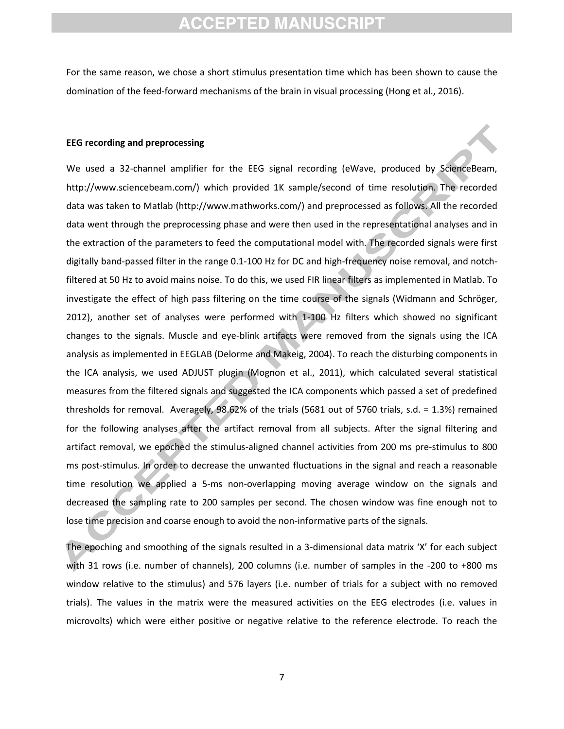For the same reason, we chose a short stimulus presentation time which has been shown to cause the domination of the feed-forward mechanisms of the brain in visual processing (Hong et al., 2016).

#### **EEG recording and preprocessing**

We used a 32-channel amplifier for the EEG signal recording (eWave, produced by ScienceBeam, [http://www.sciencebeam.com/\)](http://www.sciencebeam.com/) which provided 1K sample/second of time resolution. The recorded data was taken to Matlab [\(http://www.mathworks.com/\)](http://www.mathworks.com/) and preprocessed as follows. All the recorded data went through the preprocessing phase and were then used in the representational analyses and in the extraction of the parameters to feed the computational model with. The recorded signals were first digitally band-passed filter in the range 0.1-100 Hz for DC and high-frequency noise removal, and notchfiltered at 50 Hz to avoid mains noise. To do this, we used FIR linear filters as implemented in Matlab. To investigate the effect of high pass filtering on the time course of the signals (Widmann and Schröger, 2012), another set of analyses were performed with 1-100 Hz filters which showed no significant changes to the signals. Muscle and eye-blink artifacts were removed from the signals using the ICA analysis as implemented in EEGLAB (Delorme and Makeig, 2004). To reach the disturbing components in the ICA analysis, we used ADJUST plugin (Mognon et al., 2011), which calculated several statistical measures from the filtered signals and suggested the ICA components which passed a set of predefined thresholds for removal. Averagely, 98.62% of the trials (5681 out of 5760 trials, s.d. = 1.3%) remained for the following analyses after the artifact removal from all subjects. After the signal filtering and artifact removal, we epoched the stimulus-aligned channel activities from 200 ms pre-stimulus to 800 ms post-stimulus. In order to decrease the unwanted fluctuations in the signal and reach a reasonable time resolution we applied a 5-ms non-overlapping moving average window on the signals and decreased the sampling rate to 200 samples per second. The chosen window was fine enough not to lose time precision and coarse enough to avoid the non-informative parts of the signals.

The epoching and smoothing of the signals resulted in a 3-dimensional data matrix 'X' for each subject with 31 rows (i.e. number of channels), 200 columns (i.e. number of samples in the -200 to +800 ms window relative to the stimulus) and 576 layers (i.e. number of trials for a subject with no removed trials). The values in the matrix were the measured activities on the EEG electrodes (i.e. values in microvolts) which were either positive or negative relative to the reference electrode. To reach the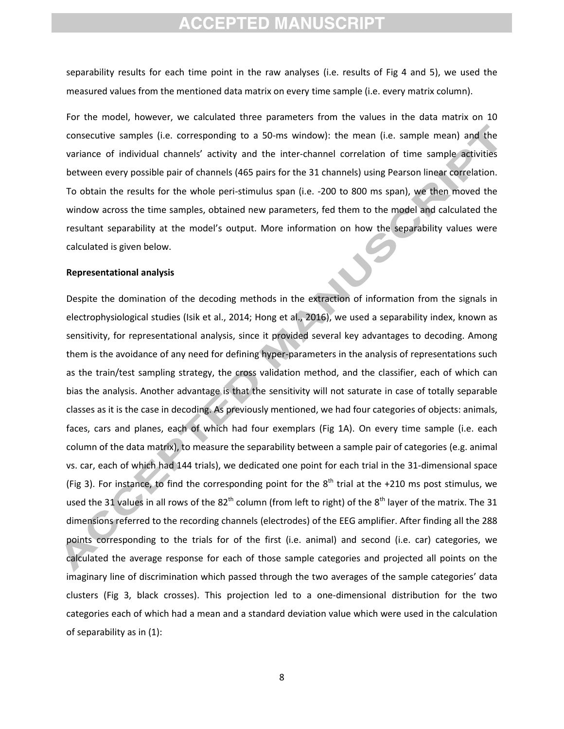separability results for each time point in the raw analyses (i.e. results of Fig 4 and 5), we used the measured values from the mentioned data matrix on every time sample (i.e. every matrix column).

For the model, however, we calculated three parameters from the values in the data matrix on 10 consecutive samples (i.e. corresponding to a 50-ms window): the mean (i.e. sample mean) and the variance of individual channels' activity and the inter-channel correlation of time sample activities between every possible pair of channels (465 pairs for the 31 channels) using Pearson linear correlation. To obtain the results for the whole peri-stimulus span (i.e. -200 to 800 ms span), we then moved the window across the time samples, obtained new parameters, fed them to the model and calculated the resultant separability at the model's output. More information on how the separability values were calculated is given below.

#### **Representational analysis**

Despite the domination of the decoding methods in the extraction of information from the signals in electrophysiological studies (Isik et al., 2014; Hong et al., 2016), we used a separability index, known as sensitivity, for representational analysis, since it provided several key advantages to decoding. Among them is the avoidance of any need for defining hyper-parameters in the analysis of representations such as the train/test sampling strategy, the cross validation method, and the classifier, each of which can bias the analysis. Another advantage is that the sensitivity will not saturate in case of totally separable classes as it is the case in decoding. As previously mentioned, we had four categories of objects: animals, faces, cars and planes, each of which had four exemplars (Fig 1A). On every time sample (i.e. each column of the data matrix), to measure the separability between a sample pair of categories (e.g. animal vs. car, each of which had 144 trials), we dedicated one point for each trial in the 31-dimensional space (Fig 3). For instance, to find the corresponding point for the  $8<sup>th</sup>$  trial at the +210 ms post stimulus, we used the 31 values in all rows of the 82<sup>th</sup> column (from left to right) of the 8<sup>th</sup> layer of the matrix. The 31 dimensions referred to the recording channels (electrodes) of the EEG amplifier. After finding all the 288 points corresponding to the trials for of the first (i.e. animal) and second (i.e. car) categories, we calculated the average response for each of those sample categories and projected all points on the imaginary line of discrimination which passed through the two averages of the sample categories' data clusters (Fig 3, black crosses). This projection led to a one-dimensional distribution for the two categories each of which had a mean and a standard deviation value which were used in the calculation of separability as in (1):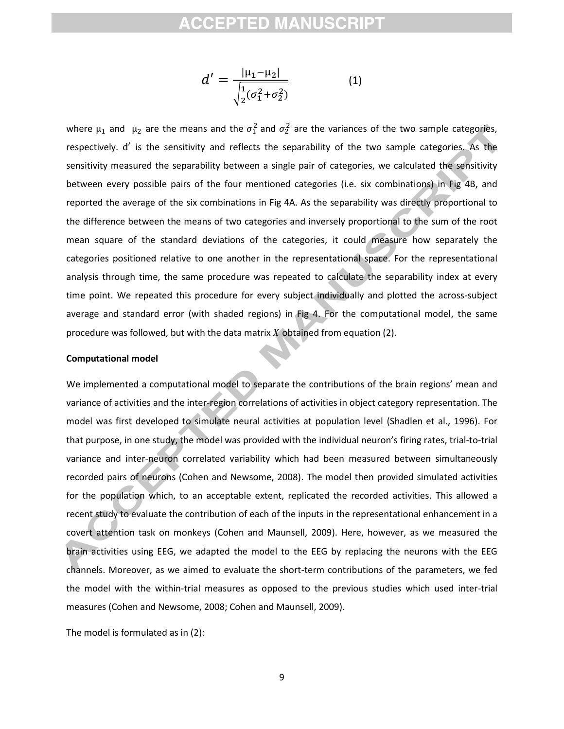$$
d' = \frac{|\mu_1 - \mu_2|}{\sqrt{\frac{1}{2}(\sigma_1^2 + \sigma_2^2)}}
$$
 (1)

where  $\mu_1$  and  $\mu_2$  are the means and the  $\sigma_1^2$  and  $\sigma_2^2$  are the variances of the two sample categories, respectively. d' is the sensitivity and reflects the separability of the two sample categories. As the sensitivity measured the separability between a single pair of categories, we calculated the sensitivity between every possible pairs of the four mentioned categories (i.e. six combinations) in Fig 4B, and reported the average of the six combinations in Fig 4A. As the separability was directly proportional to the difference between the means of two categories and inversely proportional to the sum of the root mean square of the standard deviations of the categories, it could measure how separately the categories positioned relative to one another in the representational space. For the representational analysis through time, the same procedure was repeated to calculate the separability index at every time point. We repeated this procedure for every subject individually and plotted the across-subject average and standard error (with shaded regions) in Fig 4. For the computational model, the same procedure was followed, but with the data matrix  $X$  obtained from equation (2).

#### **Computational model**

We implemented a computational model to separate the contributions of the brain regions' mean and variance of activities and the inter-region correlations of activities in object category representation. The model was first developed to simulate neural activities at population level (Shadlen et al., 1996). For that purpose, in one study, the model was provided with the individual neuron's firing rates, trial-to-trial variance and inter-neuron correlated variability which had been measured between simultaneously recorded pairs of neurons (Cohen and Newsome, 2008). The model then provided simulated activities for the population which, to an acceptable extent, replicated the recorded activities. This allowed a recent study to evaluate the contribution of each of the inputs in the representational enhancement in a covert attention task on monkeys (Cohen and Maunsell, 2009). Here, however, as we measured the brain activities using EEG, we adapted the model to the EEG by replacing the neurons with the EEG channels. Moreover, as we aimed to evaluate the short-term contributions of the parameters, we fed the model with the within-trial measures as opposed to the previous studies which used inter-trial measures (Cohen and Newsome, 2008; Cohen and Maunsell, 2009).

The model is formulated as in (2):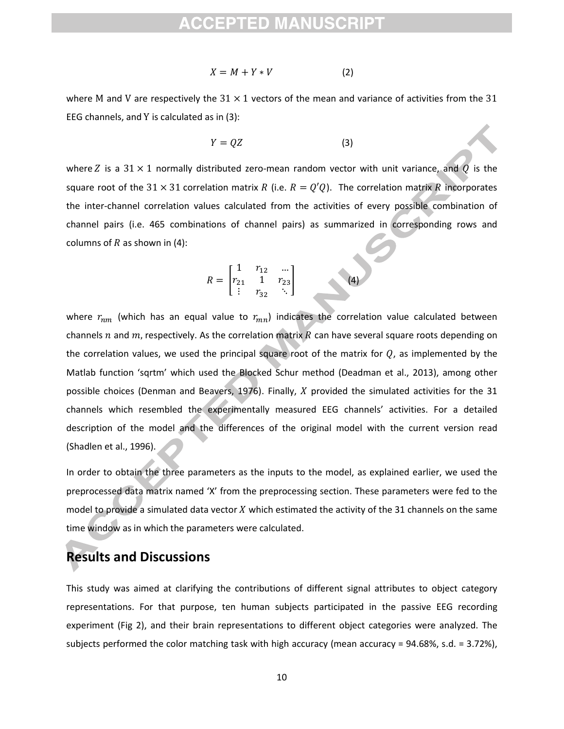$$
X = M + Y * V \tag{2}
$$

where M and V are respectively the  $31 \times 1$  vectors of the mean and variance of activities from the 31 EEG channels, and Y is calculated as in  $(3)$ :

$$
Y = QZ \tag{3}
$$

where Z is a 31  $\times$  1 normally distributed zero-mean random vector with unit variance, and Q is the square root of the 31  $\times$  31 correlation matrix R (i.e.  $R = Q'Q$ ). The correlation matrix R incorporates the inter-channel correlation values calculated from the activities of every possible combination of channel pairs (i.e. 465 combinations of channel pairs) as summarized in corresponding rows and columns of  $R$  as shown in (4):

$$
R = \begin{bmatrix} 1 & r_{12} & \dots \\ r_{21} & 1 & r_{23} \\ \vdots & r_{32} & \ddots \end{bmatrix}
$$
 (4)

where  $r_{nm}$  (which has an equal value to  $r_{mn}$ ) indicates the correlation value calculated between channels n and m, respectively. As the correlation matrix R can have several square roots depending on the correlation values, we used the principal square root of the matrix for  $Q$ , as implemented by the Matlab function 'sqrtm' which used the Blocked Schur method (Deadman et al., 2013), among other possible choices (Denman and Beavers, 1976). Finally, X provided the simulated activities for the 31 channels which resembled the experimentally measured EEG channels' activities. For a detailed description of the model and the differences of the original model with the current version read (Shadlen et al., 1996).

In order to obtain the three parameters as the inputs to the model, as explained earlier, we used the preprocessed data matrix named 'X' from the preprocessing section. These parameters were fed to the model to provide a simulated data vector  $X$  which estimated the activity of the 31 channels on the same time window as in which the parameters were calculated.

### **Results and Discussions**

This study was aimed at clarifying the contributions of different signal attributes to object category representations. For that purpose, ten human subjects participated in the passive EEG recording experiment (Fig 2), and their brain representations to different object categories were analyzed. The subjects performed the color matching task with high accuracy (mean accuracy = 94.68%, s.d. = 3.72%),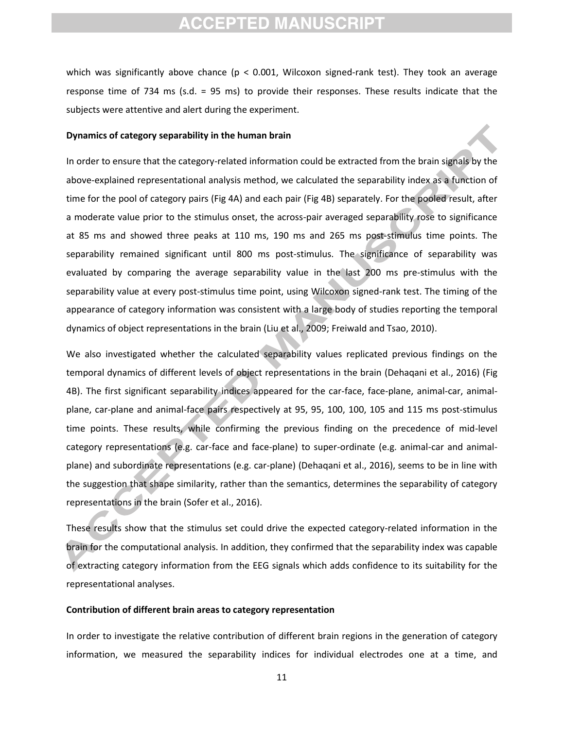which was significantly above chance ( $p < 0.001$ , Wilcoxon signed-rank test). They took an average response time of 734 ms (s.d. = 95 ms) to provide their responses. These results indicate that the subjects were attentive and alert during the experiment.

#### **Dynamics of category separability in the human brain**

In order to ensure that the category-related information could be extracted from the brain signals by the above-explained representational analysis method, we calculated the separability index as a function of time for the pool of category pairs (Fig 4A) and each pair (Fig 4B) separately. For the pooled result, after a moderate value prior to the stimulus onset, the across-pair averaged separability rose to significance at 85 ms and showed three peaks at 110 ms, 190 ms and 265 ms post-stimulus time points. The separability remained significant until 800 ms post-stimulus. The significance of separability was evaluated by comparing the average separability value in the last 200 ms pre-stimulus with the separability value at every post-stimulus time point, using Wilcoxon signed-rank test. The timing of the appearance of category information was consistent with a large body of studies reporting the temporal dynamics of object representations in the brain (Liu et al., 2009; Freiwald and Tsao, 2010).

We also investigated whether the calculated separability values replicated previous findings on the temporal dynamics of different levels of object representations in the brain (Dehaqani et al., 2016) (Fig 4B). The first significant separability indices appeared for the car-face, face-plane, animal-car, animalplane, car-plane and animal-face pairs respectively at 95, 95, 100, 100, 105 and 115 ms post-stimulus time points. These results, while confirming the previous finding on the precedence of mid-level category representations (e.g. car-face and face-plane) to super-ordinate (e.g. animal-car and animalplane) and subordinate representations (e.g. car-plane) (Dehaqani et al., 2016), seems to be in line with the suggestion that shape similarity, rather than the semantics, determines the separability of category representations in the brain (Sofer et al., 2016).

These results show that the stimulus set could drive the expected category-related information in the brain for the computational analysis. In addition, they confirmed that the separability index was capable of extracting category information from the EEG signals which adds confidence to its suitability for the representational analyses.

#### **Contribution of different brain areas to category representation**

In order to investigate the relative contribution of different brain regions in the generation of category information, we measured the separability indices for individual electrodes one at a time, and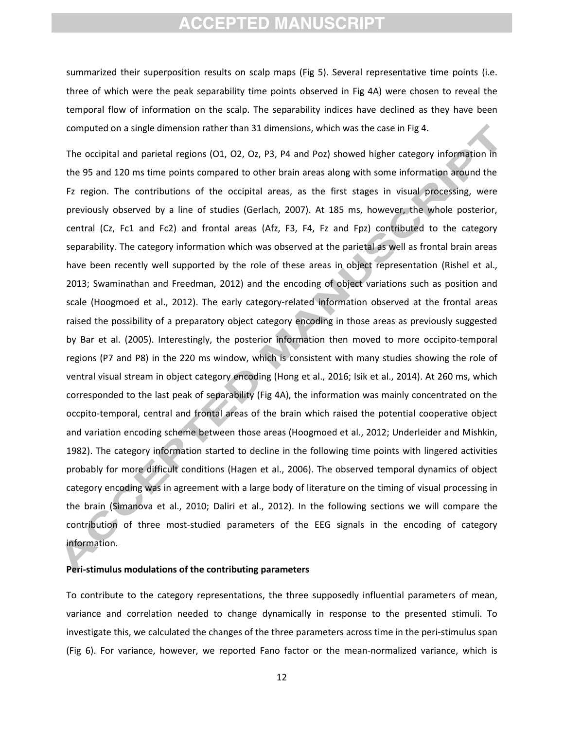summarized their superposition results on scalp maps (Fig 5). Several representative time points (i.e. three of which were the peak separability time points observed in Fig 4A) were chosen to reveal the temporal flow of information on the scalp. The separability indices have declined as they have been computed on a single dimension rather than 31 dimensions, which was the case in Fig 4.

The occipital and parietal regions (O1, O2, Oz, P3, P4 and Poz) showed higher category information in the 95 and 120 ms time points compared to other brain areas along with some information around the Fz region. The contributions of the occipital areas, as the first stages in visual processing, were previously observed by a line of studies (Gerlach, 2007). At 185 ms, however, the whole posterior, central (Cz, Fc1 and Fc2) and frontal areas (Afz, F3, F4, Fz and Fpz) contributed to the category separability. The category information which was observed at the parietal as well as frontal brain areas have been recently well supported by the role of these areas in object representation (Rishel et al., 2013; Swaminathan and Freedman, 2012) and the encoding of object variations such as position and scale (Hoogmoed et al., 2012). The early category-related information observed at the frontal areas raised the possibility of a preparatory object category encoding in those areas as previously suggested by Bar et al. (2005). Interestingly, the posterior information then moved to more occipito-temporal regions (P7 and P8) in the 220 ms window, which is consistent with many studies showing the role of ventral visual stream in object category encoding (Hong et al., 2016; Isik et al., 2014). At 260 ms, which corresponded to the last peak of separability (Fig 4A), the information was mainly concentrated on the occpito-temporal, central and frontal areas of the brain which raised the potential cooperative object and variation encoding scheme between those areas (Hoogmoed et al., 2012; Underleider and Mishkin, 1982). The category information started to decline in the following time points with lingered activities probably for more difficult conditions (Hagen et al., 2006). The observed temporal dynamics of object category encoding was in agreement with a large body of literature on the timing of visual processing in the brain (Simanova et al., 2010; Daliri et al., 2012). In the following sections we will compare the contribution of three most-studied parameters of the EEG signals in the encoding of category information.

#### **Peri-stimulus modulations of the contributing parameters**

To contribute to the category representations, the three supposedly influential parameters of mean, variance and correlation needed to change dynamically in response to the presented stimuli. To investigate this, we calculated the changes of the three parameters across time in the peri-stimulus span (Fig 6). For variance, however, we reported Fano factor or the mean-normalized variance, which is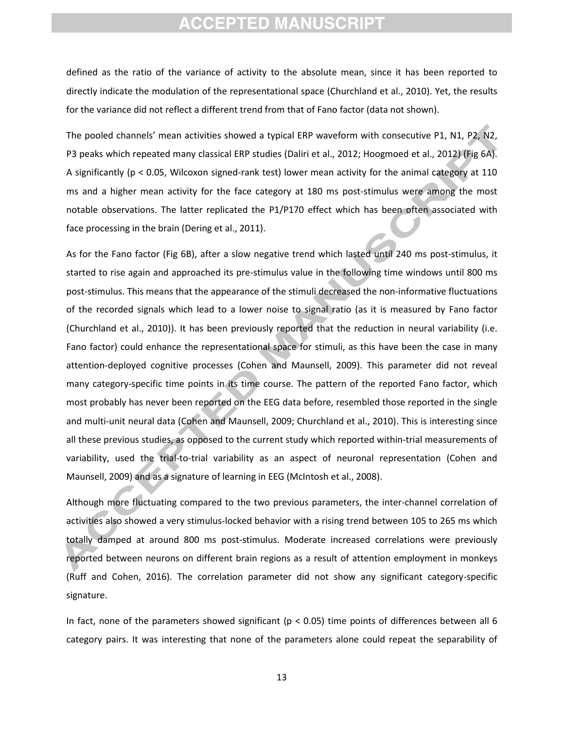defined as the ratio of the variance of activity to the absolute mean, since it has been reported to directly indicate the modulation of the representational space (Churchland et al., 2010). Yet, the results for the variance did not reflect a different trend from that of Fano factor (data not shown).

The pooled channels' mean activities showed a typical ERP waveform with consecutive P1, N1, P2, N2, P3 peaks which repeated many classical ERP studies (Daliri et al., 2012; Hoogmoed et al., 2012) (Fig 6A). A significantly (p < 0.05, Wilcoxon signed-rank test) lower mean activity for the animal category at 110 ms and a higher mean activity for the face category at 180 ms post-stimulus were among the most notable observations. The latter replicated the P1/P170 effect which has been often associated with face processing in the brain (Dering et al., 2011).

As for the Fano factor (Fig 6B), after a slow negative trend which lasted until 240 ms post-stimulus, it started to rise again and approached its pre-stimulus value in the following time windows until 800 ms post-stimulus. This means that the appearance of the stimuli decreased the non-informative fluctuations of the recorded signals which lead to a lower noise to signal ratio (as it is measured by Fano factor (Churchland et al., 2010)). It has been previously reported that the reduction in neural variability (i.e. Fano factor) could enhance the representational space for stimuli, as this have been the case in many attention-deployed cognitive processes (Cohen and Maunsell, 2009). This parameter did not reveal many category-specific time points in its time course. The pattern of the reported Fano factor, which most probably has never been reported on the EEG data before, resembled those reported in the single and multi-unit neural data (Cohen and Maunsell, 2009; Churchland et al., 2010). This is interesting since all these previous studies, as opposed to the current study which reported within-trial measurements of variability, used the trial-to-trial variability as an aspect of neuronal representation (Cohen and Maunsell, 2009) and as a signature of learning in EEG (McIntosh et al., 2008).

Although more fluctuating compared to the two previous parameters, the inter-channel correlation of activities also showed a very stimulus-locked behavior with a rising trend between 105 to 265 ms which totally damped at around 800 ms post-stimulus. Moderate increased correlations were previously reported between neurons on different brain regions as a result of attention employment in monkeys (Ruff and Cohen, 2016). The correlation parameter did not show any significant category-specific signature.

In fact, none of the parameters showed significant ( $p < 0.05$ ) time points of differences between all 6 category pairs. It was interesting that none of the parameters alone could repeat the separability of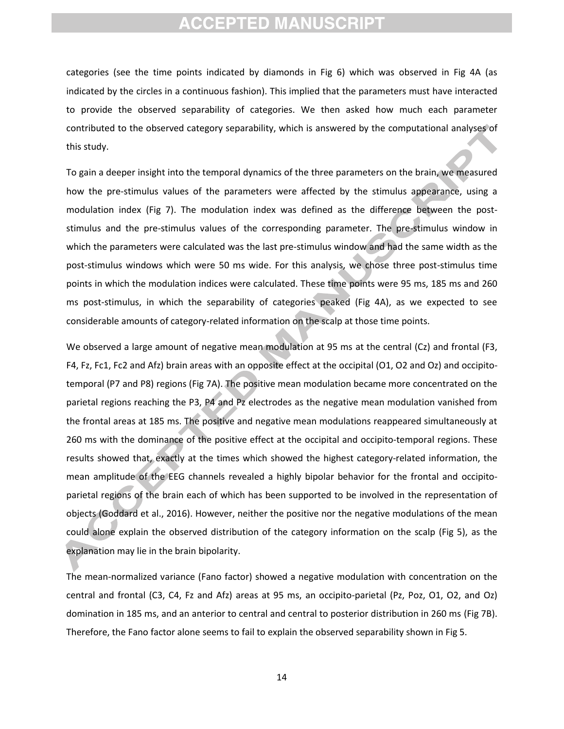categories (see the time points indicated by diamonds in Fig 6) which was observed in Fig 4A (as indicated by the circles in a continuous fashion). This implied that the parameters must have interacted to provide the observed separability of categories. We then asked how much each parameter contributed to the observed category separability, which is answered by the computational analyses of this study.

To gain a deeper insight into the temporal dynamics of the three parameters on the brain, we measured how the pre-stimulus values of the parameters were affected by the stimulus appearance, using a modulation index (Fig 7). The modulation index was defined as the difference between the poststimulus and the pre-stimulus values of the corresponding parameter. The pre-stimulus window in which the parameters were calculated was the last pre-stimulus window and had the same width as the post-stimulus windows which were 50 ms wide. For this analysis, we chose three post-stimulus time points in which the modulation indices were calculated. These time points were 95 ms, 185 ms and 260 ms post-stimulus, in which the separability of categories peaked (Fig 4A), as we expected to see considerable amounts of category-related information on the scalp at those time points.

We observed a large amount of negative mean modulation at 95 ms at the central (Cz) and frontal (F3, F4, Fz, Fc1, Fc2 and Afz) brain areas with an opposite effect at the occipital (O1, O2 and Oz) and occipitotemporal (P7 and P8) regions (Fig 7A). The positive mean modulation became more concentrated on the parietal regions reaching the P3, P4 and Pz electrodes as the negative mean modulation vanished from the frontal areas at 185 ms. The positive and negative mean modulations reappeared simultaneously at 260 ms with the dominance of the positive effect at the occipital and occipito-temporal regions. These results showed that, exactly at the times which showed the highest category-related information, the mean amplitude of the EEG channels revealed a highly bipolar behavior for the frontal and occipitoparietal regions of the brain each of which has been supported to be involved in the representation of objects (Goddard et al., 2016). However, neither the positive nor the negative modulations of the mean could alone explain the observed distribution of the category information on the scalp (Fig 5), as the explanation may lie in the brain bipolarity.

The mean-normalized variance (Fano factor) showed a negative modulation with concentration on the central and frontal (C3, C4, Fz and Afz) areas at 95 ms, an occipito-parietal (Pz, Poz, O1, O2, and Oz) domination in 185 ms, and an anterior to central and central to posterior distribution in 260 ms (Fig 7B). Therefore, the Fano factor alone seems to fail to explain the observed separability shown in Fig 5.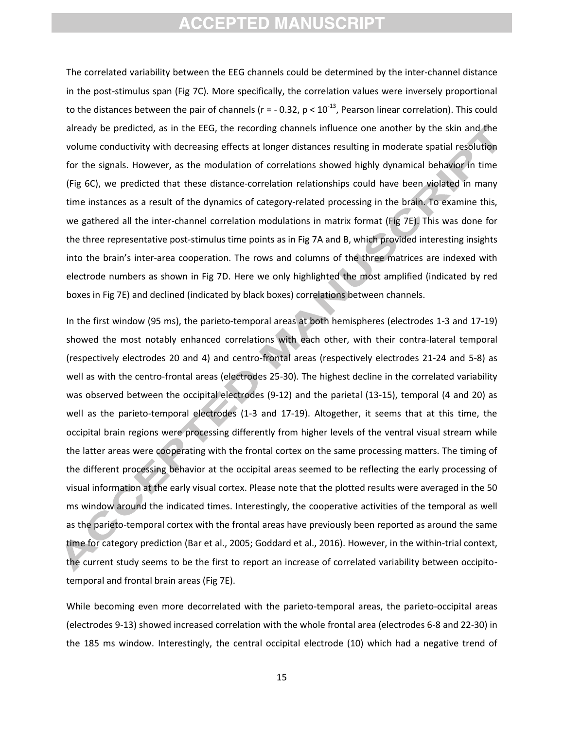The correlated variability between the EEG channels could be determined by the inter-channel distance in the post-stimulus span (Fig 7C). More specifically, the correlation values were inversely proportional to the distances between the pair of channels ( $r = -0.32$ ,  $p < 10^{-13}$ , Pearson linear correlation). This could already be predicted, as in the EEG, the recording channels influence one another by the skin and the volume conductivity with decreasing effects at longer distances resulting in moderate spatial resolution for the signals. However, as the modulation of correlations showed highly dynamical behavior in time (Fig 6C), we predicted that these distance-correlation relationships could have been violated in many time instances as a result of the dynamics of category-related processing in the brain. To examine this, we gathered all the inter-channel correlation modulations in matrix format (Fig 7E). This was done for the three representative post-stimulus time points as in Fig 7A and B, which provided interesting insights into the brain's inter-area cooperation. The rows and columns of the three matrices are indexed with electrode numbers as shown in Fig 7D. Here we only highlighted the most amplified (indicated by red boxes in Fig 7E) and declined (indicated by black boxes) correlations between channels.

In the first window (95 ms), the parieto-temporal areas at both hemispheres (electrodes 1-3 and 17-19) showed the most notably enhanced correlations with each other, with their contra-lateral temporal (respectively electrodes 20 and 4) and centro-frontal areas (respectively electrodes 21-24 and 5-8) as well as with the centro-frontal areas (electrodes 25-30). The highest decline in the correlated variability was observed between the occipital electrodes (9-12) and the parietal (13-15), temporal (4 and 20) as well as the parieto-temporal electrodes (1-3 and 17-19). Altogether, it seems that at this time, the occipital brain regions were processing differently from higher levels of the ventral visual stream while the latter areas were cooperating with the frontal cortex on the same processing matters. The timing of the different processing behavior at the occipital areas seemed to be reflecting the early processing of visual information at the early visual cortex. Please note that the plotted results were averaged in the 50 ms window around the indicated times. Interestingly, the cooperative activities of the temporal as well as the parieto-temporal cortex with the frontal areas have previously been reported as around the same time for category prediction (Bar et al., 2005; Goddard et al., 2016). However, in the within-trial context, the current study seems to be the first to report an increase of correlated variability between occipitotemporal and frontal brain areas (Fig 7E).

While becoming even more decorrelated with the parieto-temporal areas, the parieto-occipital areas (electrodes 9-13) showed increased correlation with the whole frontal area (electrodes 6-8 and 22-30) in the 185 ms window. Interestingly, the central occipital electrode (10) which had a negative trend of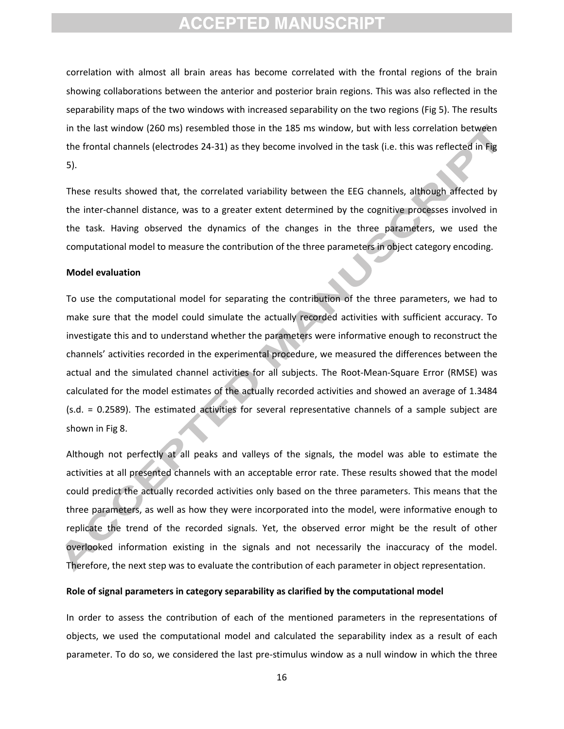correlation with almost all brain areas has become correlated with the frontal regions of the brain showing collaborations between the anterior and posterior brain regions. This was also reflected in the separability maps of the two windows with increased separability on the two regions (Fig 5). The results in the last window (260 ms) resembled those in the 185 ms window, but with less correlation between the frontal channels (electrodes 24-31) as they become involved in the task (i.e. this was reflected in Fig 5).

These results showed that, the correlated variability between the EEG channels, although affected by the inter-channel distance, was to a greater extent determined by the cognitive processes involved in the task. Having observed the dynamics of the changes in the three parameters, we used the computational model to measure the contribution of the three parameters in object category encoding.

#### **Model evaluation**

To use the computational model for separating the contribution of the three parameters, we had to make sure that the model could simulate the actually recorded activities with sufficient accuracy. To investigate this and to understand whether the parameters were informative enough to reconstruct the channels' activities recorded in the experimental procedure, we measured the differences between the actual and the simulated channel activities for all subjects. The Root-Mean-Square Error (RMSE) was calculated for the model estimates of the actually recorded activities and showed an average of 1.3484 (s.d. = 0.2589). The estimated activities for several representative channels of a sample subject are shown in Fig 8.

Although not perfectly at all peaks and valleys of the signals, the model was able to estimate the activities at all presented channels with an acceptable error rate. These results showed that the model could predict the actually recorded activities only based on the three parameters. This means that the three parameters, as well as how they were incorporated into the model, were informative enough to replicate the trend of the recorded signals. Yet, the observed error might be the result of other overlooked information existing in the signals and not necessarily the inaccuracy of the model. Therefore, the next step was to evaluate the contribution of each parameter in object representation.

#### **Role of signal parameters in category separability as clarified by the computational model**

In order to assess the contribution of each of the mentioned parameters in the representations of objects, we used the computational model and calculated the separability index as a result of each parameter. To do so, we considered the last pre-stimulus window as a null window in which the three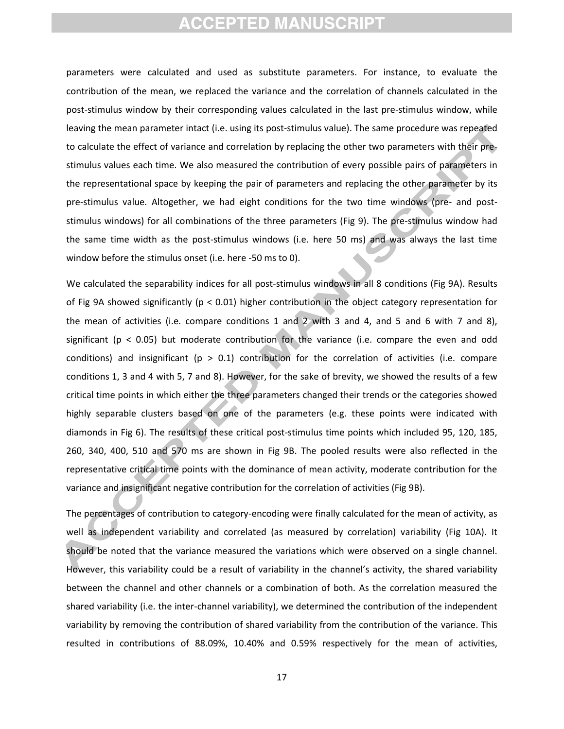parameters were calculated and used as substitute parameters. For instance, to evaluate the contribution of the mean, we replaced the variance and the correlation of channels calculated in the post-stimulus window by their corresponding values calculated in the last pre-stimulus window, while leaving the mean parameter intact (i.e. using its post-stimulus value). The same procedure was repeated to calculate the effect of variance and correlation by replacing the other two parameters with their prestimulus values each time. We also measured the contribution of every possible pairs of parameters in the representational space by keeping the pair of parameters and replacing the other parameter by its pre-stimulus value. Altogether, we had eight conditions for the two time windows (pre- and poststimulus windows) for all combinations of the three parameters (Fig 9). The pre-stimulus window had the same time width as the post-stimulus windows (i.e. here 50 ms) and was always the last time window before the stimulus onset (i.e. here -50 ms to 0).

We calculated the separability indices for all post-stimulus windows in all 8 conditions (Fig 9A). Results of Fig 9A showed significantly ( $p < 0.01$ ) higher contribution in the object category representation for the mean of activities (i.e. compare conditions 1 and 2 with 3 and 4, and 5 and 6 with 7 and 8), significant ( $p < 0.05$ ) but moderate contribution for the variance (i.e. compare the even and odd conditions) and insignificant ( $p > 0.1$ ) contribution for the correlation of activities (i.e. compare conditions 1, 3 and 4 with 5, 7 and 8). However, for the sake of brevity, we showed the results of a few critical time points in which either the three parameters changed their trends or the categories showed highly separable clusters based on one of the parameters (e.g. these points were indicated with diamonds in Fig 6). The results of these critical post-stimulus time points which included 95, 120, 185, 260, 340, 400, 510 and 570 ms are shown in Fig 9B. The pooled results were also reflected in the representative critical time points with the dominance of mean activity, moderate contribution for the variance and insignificant negative contribution for the correlation of activities (Fig 9B).

The percentages of contribution to category-encoding were finally calculated for the mean of activity, as well as independent variability and correlated (as measured by correlation) variability (Fig 10A). It should be noted that the variance measured the variations which were observed on a single channel. However, this variability could be a result of variability in the channel's activity, the shared variability between the channel and other channels or a combination of both. As the correlation measured the shared variability (i.e. the inter-channel variability), we determined the contribution of the independent variability by removing the contribution of shared variability from the contribution of the variance. This resulted in contributions of 88.09%, 10.40% and 0.59% respectively for the mean of activities,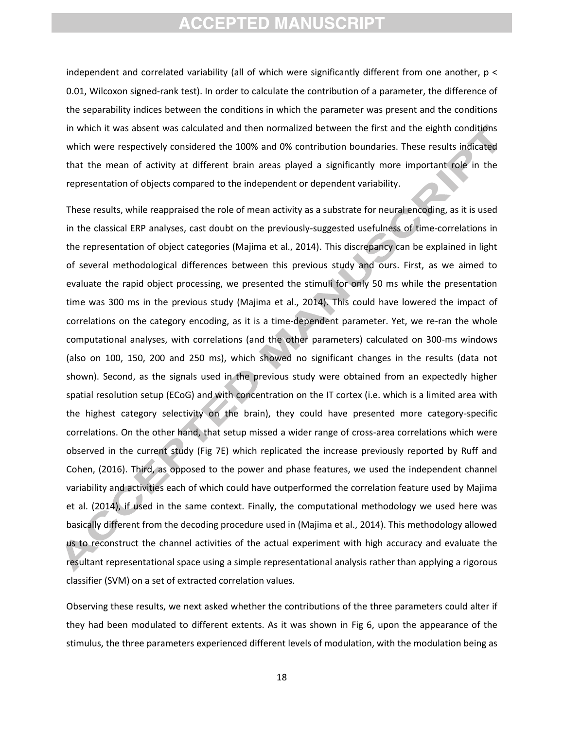independent and correlated variability (all of which were significantly different from one another, p < 0.01, Wilcoxon signed-rank test). In order to calculate the contribution of a parameter, the difference of the separability indices between the conditions in which the parameter was present and the conditions in which it was absent was calculated and then normalized between the first and the eighth conditions which were respectively considered the 100% and 0% contribution boundaries. These results indicated that the mean of activity at different brain areas played a significantly more important role in the representation of objects compared to the independent or dependent variability.

These results, while reappraised the role of mean activity as a substrate for neural encoding, as it is used in the classical ERP analyses, cast doubt on the previously-suggested usefulness of time-correlations in the representation of object categories (Majima et al., 2014). This discrepancy can be explained in light of several methodological differences between this previous study and ours. First, as we aimed to evaluate the rapid object processing, we presented the stimuli for only 50 ms while the presentation time was 300 ms in the previous study (Majima et al., 2014). This could have lowered the impact of correlations on the category encoding, as it is a time-dependent parameter. Yet, we re-ran the whole computational analyses, with correlations (and the other parameters) calculated on 300-ms windows (also on 100, 150, 200 and 250 ms), which showed no significant changes in the results (data not shown). Second, as the signals used in the previous study were obtained from an expectedly higher spatial resolution setup (ECoG) and with concentration on the IT cortex (i.e. which is a limited area with the highest category selectivity on the brain), they could have presented more category-specific correlations. On the other hand, that setup missed a wider range of cross-area correlations which were observed in the current study (Fig 7E) which replicated the increase previously reported by Ruff and Cohen, (2016). Third, as opposed to the power and phase features, we used the independent channel variability and activities each of which could have outperformed the correlation feature used by Majima et al. (2014), if used in the same context. Finally, the computational methodology we used here was basically different from the decoding procedure used in (Majima et al., 2014). This methodology allowed us to reconstruct the channel activities of the actual experiment with high accuracy and evaluate the resultant representational space using a simple representational analysis rather than applying a rigorous classifier (SVM) on a set of extracted correlation values.

Observing these results, we next asked whether the contributions of the three parameters could alter if they had been modulated to different extents. As it was shown in Fig 6, upon the appearance of the stimulus, the three parameters experienced different levels of modulation, with the modulation being as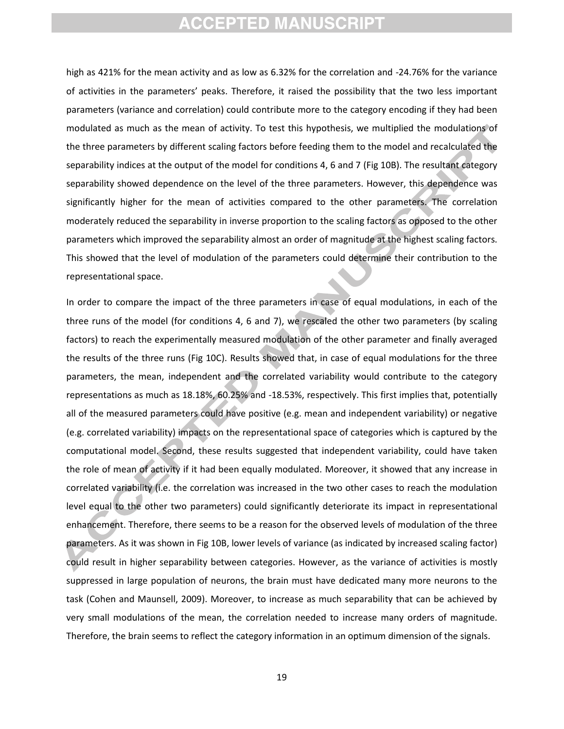high as 421% for the mean activity and as low as 6.32% for the correlation and -24.76% for the variance of activities in the parameters' peaks. Therefore, it raised the possibility that the two less important parameters (variance and correlation) could contribute more to the category encoding if they had been modulated as much as the mean of activity. To test this hypothesis, we multiplied the modulations of the three parameters by different scaling factors before feeding them to the model and recalculated the separability indices at the output of the model for conditions 4, 6 and 7 (Fig 10B). The resultant category separability showed dependence on the level of the three parameters. However, this dependence was significantly higher for the mean of activities compared to the other parameters. The correlation moderately reduced the separability in inverse proportion to the scaling factors as opposed to the other parameters which improved the separability almost an order of magnitude at the highest scaling factors. This showed that the level of modulation of the parameters could determine their contribution to the representational space.

In order to compare the impact of the three parameters in case of equal modulations, in each of the three runs of the model (for conditions 4, 6 and 7), we rescaled the other two parameters (by scaling factors) to reach the experimentally measured modulation of the other parameter and finally averaged the results of the three runs (Fig 10C). Results showed that, in case of equal modulations for the three parameters, the mean, independent and the correlated variability would contribute to the category representations as much as 18.18%, 60.25% and -18.53%, respectively. This first implies that, potentially all of the measured parameters could have positive (e.g. mean and independent variability) or negative (e.g. correlated variability) impacts on the representational space of categories which is captured by the computational model. Second, these results suggested that independent variability, could have taken the role of mean of activity if it had been equally modulated. Moreover, it showed that any increase in correlated variability (i.e. the correlation was increased in the two other cases to reach the modulation level equal to the other two parameters) could significantly deteriorate its impact in representational enhancement. Therefore, there seems to be a reason for the observed levels of modulation of the three parameters. As it was shown in Fig 10B, lower levels of variance (as indicated by increased scaling factor) could result in higher separability between categories. However, as the variance of activities is mostly suppressed in large population of neurons, the brain must have dedicated many more neurons to the task (Cohen and Maunsell, 2009). Moreover, to increase as much separability that can be achieved by very small modulations of the mean, the correlation needed to increase many orders of magnitude. Therefore, the brain seems to reflect the category information in an optimum dimension of the signals.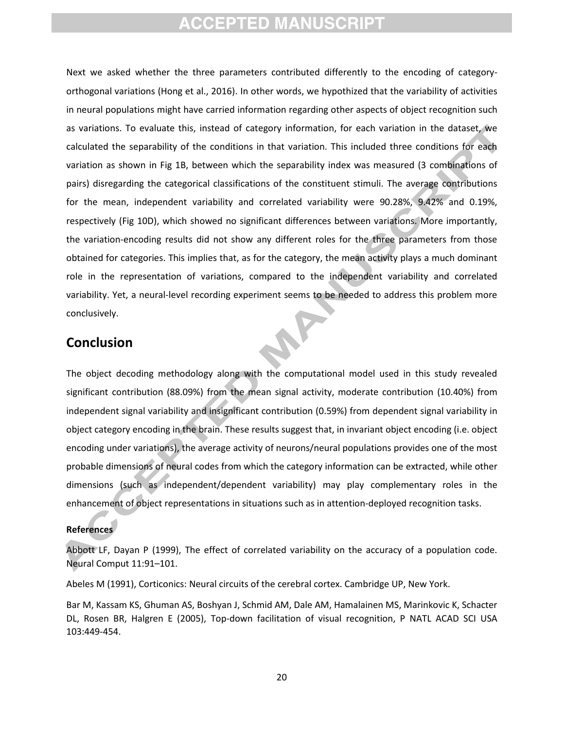Next we asked whether the three parameters contributed differently to the encoding of categoryorthogonal variations (Hong et al., 2016). In other words, we hypothized that the variability of activities in neural populations might have carried information regarding other aspects of object recognition such as variations. To evaluate this, instead of category information, for each variation in the dataset, we calculated the separability of the conditions in that variation. This included three conditions for each variation as shown in Fig 1B, between which the separability index was measured (3 combinations of pairs) disregarding the categorical classifications of the constituent stimuli. The average contributions for the mean, independent variability and correlated variability were 90.28%, 9.42% and 0.19%, respectively (Fig 10D), which showed no significant differences between variations. More importantly, the variation-encoding results did not show any different roles for the three parameters from those obtained for categories. This implies that, as for the category, the mean activity plays a much dominant role in the representation of variations, compared to the independent variability and correlated variability. Yet, a neural-level recording experiment seems to be needed to address this problem more conclusively.

### **Conclusion**

The object decoding methodology along with the computational model used in this study revealed significant contribution (88.09%) from the mean signal activity, moderate contribution (10.40%) from independent signal variability and insignificant contribution (0.59%) from dependent signal variability in object category encoding in the brain. These results suggest that, in invariant object encoding (i.e. object encoding under variations), the average activity of neurons/neural populations provides one of the most probable dimensions of neural codes from which the category information can be extracted, while other dimensions (such as independent/dependent variability) may play complementary roles in the enhancement of object representations in situations such as in attention-deployed recognition tasks.

#### **References**

Abbott LF, Dayan P (1999), The effect of correlated variability on the accuracy of a population code. Neural Comput 11:91–101.

Abeles M (1991), Corticonics: Neural circuits of the cerebral cortex. Cambridge UP, New York.

Bar M, Kassam KS, Ghuman AS, Boshyan J, Schmid AM, Dale AM, Hamalainen MS, Marinkovic K, Schacter DL, Rosen BR, Halgren E (2005), Top-down facilitation of visual recognition, P NATL ACAD SCI USA 103:449-454.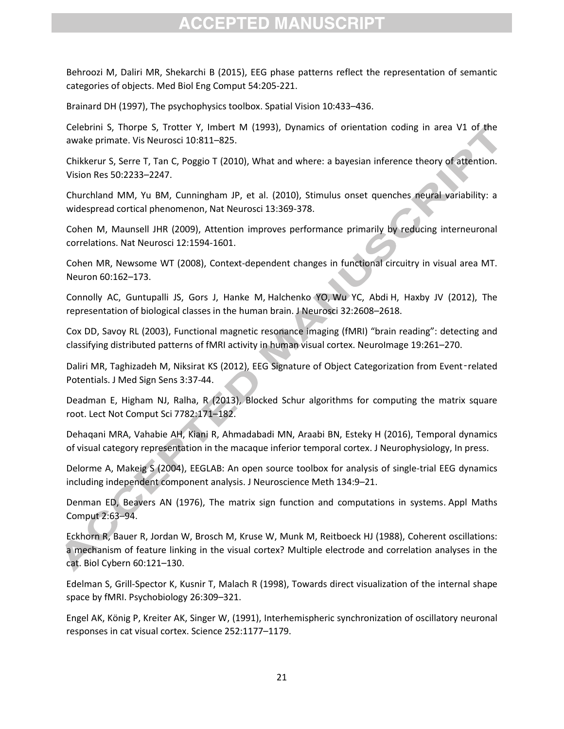Behroozi M, Daliri MR, Shekarchi B (2015), EEG phase patterns reflect the representation of semantic categories of objects. Med Biol Eng Comput 54:205-221.

Brainard DH (1997), The psychophysics toolbox. Spatial Vision 10:433–436.

Celebrini S, Thorpe S, Trotter Y, Imbert M (1993), Dynamics of orientation coding in area V1 of the awake primate. Vis Neurosci 10:811–825.

Chikkerur S, Serre T, Tan C, Poggio T (2010), What and where: a bayesian inference theory of attention. Vision Res 50:2233–2247.

Churchland MM, Yu BM, Cunningham JP, et al. (2010), Stimulus onset quenches neural variability: a widespread cortical phenomenon, Nat Neurosci 13:369-378.

Cohen M, Maunsell JHR (2009), Attention improves performance primarily by reducing interneuronal correlations. Nat Neurosci 12:1594-1601.

Cohen MR, Newsome WT (2008), Context-dependent changes in functional circuitry in visual area MT. Neuron 60:162–173.

Connolly AC, Guntupalli JS, Gors J, Hanke M, Halchenko YO, Wu YC, Abdi H, Haxby JV (2012), The representation of biological classes in the human brain. J Neurosci 32:2608–2618.

Cox DD, Savoy RL (2003), Functional magnetic resonance imaging (fMRI) "brain reading": detecting and classifying distributed patterns of fMRI activity in human visual cortex. NeuroImage 19:261-270.

Daliri MR, Taghizadeh M, Niksirat KS (2012), EEG Signature of Object Categorization from Event-related Potentials. J Med Sign Sens 3:37-44.

Deadman E, Higham NJ, Ralha, R (2013), Blocked Schur algorithms for computing the matrix square root. Lect Not Comput Sci 7782:171–182.

Dehaqani MRA, Vahabie AH, Kiani R, Ahmadabadi MN, Araabi BN, Esteky H (2016), Temporal dynamics of visual category representation in the macaque inferior temporal cortex. J Neurophysiology, In press.

Delorme A, Makeig S (2004), EEGLAB: An open source toolbox for analysis of single-trial EEG dynamics including independent component analysis. J Neuroscience Meth 134:9–21.

Denman ED, Beavers AN (1976), The matrix sign function and computations in systems. Appl Maths Comput 2:63–94.

Eckhorn R, Bauer R, Jordan W, Brosch M, Kruse W, Munk M, Reitboeck HJ (1988), Coherent oscillations: a mechanism of feature linking in the visual cortex? Multiple electrode and correlation analyses in the cat. Biol Cybern 60:121–130.

Edelman S, Grill-Spector K, Kusnir T, Malach R (1998), Towards direct visualization of the internal shape space by fMRI. Psychobiology 26:309–321.

Engel AK, König P, Kreiter AK, Singer W, (1991), Interhemispheric synchronization of oscillatory neuronal responses in cat visual cortex. Science 252:1177–1179.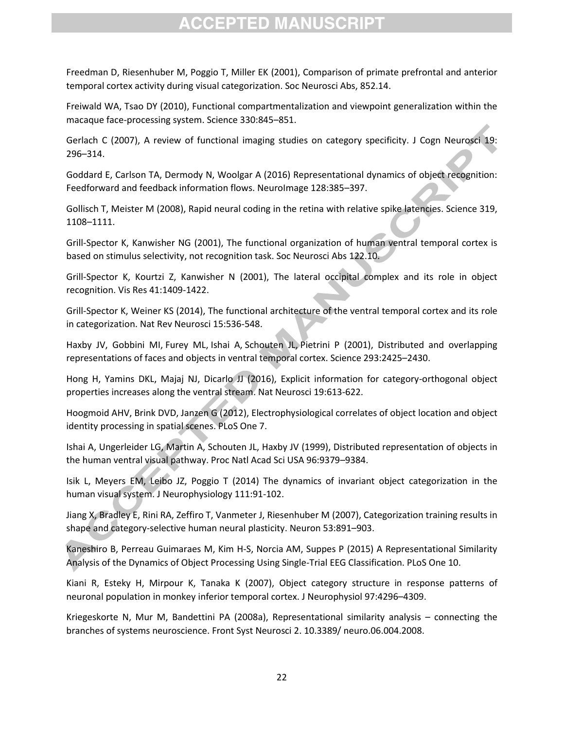Freedman D, Riesenhuber M, Poggio T, Miller EK (2001), Comparison of primate prefrontal and anterior temporal cortex activity during visual categorization. Soc Neurosci Abs, 852.14.

Freiwald WA, Tsao DY (2010), Functional compartmentalization and viewpoint generalization within the macaque face-processing system. Science 330:845–851.

Gerlach C (2007), A review of functional imaging studies on category specificity. J Cogn Neurosci 19: 296–314.

Goddard E, Carlson TA, Dermody N, Woolgar A (2016) Representational dynamics of object recognition: Feedforward and feedback information flows. NeuroImage 128:385–397.

Gollisch T, Meister M (2008), Rapid neural coding in the retina with relative spike latencies. Science 319, 1108–1111.

Grill-Spector K, Kanwisher NG (2001), The functional organization of human ventral temporal cortex is based on stimulus selectivity, not recognition task. Soc Neurosci Abs 122.10.

Grill-Spector K, Kourtzi Z, Kanwisher N (2001), The lateral occipital complex and its role in object recognition. Vis Res 41:1409-1422.

Grill-Spector K, Weiner KS (2014), The functional architecture of the ventral temporal cortex and its role in categorization. Nat Rev Neurosci 15:536-548.

Haxby JV, [Gobbini MI,](https://www.ncbi.nlm.nih.gov/pubmed/?term=Gobbini%20MI%5BAuthor%5D&cauthor=true&cauthor_uid=11577229) [Furey ML,](https://www.ncbi.nlm.nih.gov/pubmed/?term=Furey%20ML%5BAuthor%5D&cauthor=true&cauthor_uid=11577229) [Ishai A,](https://www.ncbi.nlm.nih.gov/pubmed/?term=Ishai%20A%5BAuthor%5D&cauthor=true&cauthor_uid=11577229) [Schouten JL,](https://www.ncbi.nlm.nih.gov/pubmed/?term=Schouten%20JL%5BAuthor%5D&cauthor=true&cauthor_uid=11577229) [Pietrini P](https://www.ncbi.nlm.nih.gov/pubmed/?term=Pietrini%20P%5BAuthor%5D&cauthor=true&cauthor_uid=11577229) (2001), Distributed and overlapping representations of faces and objects in ventral temporal cortex. Science 293:2425–2430.

Hong H, Yamins DKL, Majaj NJ, Dicarlo JJ (2016), Explicit information for category-orthogonal object properties increases along the ventral stream. Nat Neurosci 19:613-622.

Hoogmoid AHV, Brink DVD, Janzen G (2012), Electrophysiological correlates of object location and object identity processing in spatial scenes. PLoS One 7.

Ishai A, Ungerleider LG, Martin A, Schouten JL, Haxby JV (1999), Distributed representation of objects in the human ventral visual pathway. Proc Natl Acad Sci USA 96:9379–9384.

Isik L, Meyers EM, Leibo JZ, Poggio T (2014) The dynamics of invariant object categorization in the human visual system. J Neurophysiology 111:91-102.

Jiang X[, Bradley E,](https://www.ncbi.nlm.nih.gov/pubmed/?term=Bradley%20E%5BAuthor%5D&cauthor=true&cauthor_uid=17359923) [Rini RA,](https://www.ncbi.nlm.nih.gov/pubmed/?term=Rini%20RA%5BAuthor%5D&cauthor=true&cauthor_uid=17359923) [Zeffiro T,](https://www.ncbi.nlm.nih.gov/pubmed/?term=Zeffiro%20T%5BAuthor%5D&cauthor=true&cauthor_uid=17359923) [Vanmeter J,](https://www.ncbi.nlm.nih.gov/pubmed/?term=Vanmeter%20J%5BAuthor%5D&cauthor=true&cauthor_uid=17359923) [Riesenhuber M](https://www.ncbi.nlm.nih.gov/pubmed/?term=Riesenhuber%20M%5BAuthor%5D&cauthor=true&cauthor_uid=17359923) (2007), Categorization training results in shape and category-selective human neural plasticity. Neuron 53:891–903.

Kaneshiro B, Perreau Guimaraes M, Kim H-S, Norcia AM, Suppes P (2015) A Representational Similarity Analysis of the Dynamics of Object Processing Using Single-Trial EEG Classification. PLoS One 10.

Kiani R, Esteky H, Mirpour K, Tanaka K (2007), Object category structure in response patterns of neuronal population in monkey inferior temporal cortex. J Neurophysiol 97:4296–4309.

Kriegeskorte N, Mur M, Bandettini PA (2008a), Representational similarity analysis – connecting the branches of systems neuroscience. Front Syst Neurosci 2. 10.3389/ neuro.06.004.2008.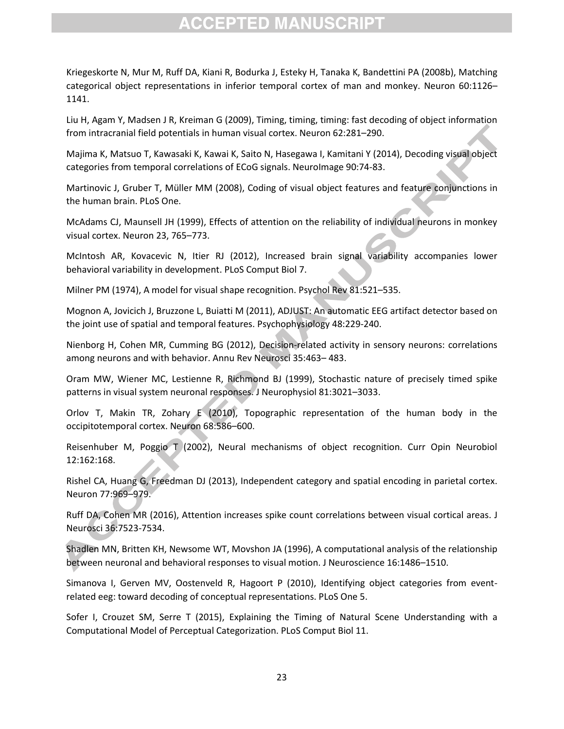Kriegeskorte N, Mur M, Ruff DA, Kiani R, Bodurka J, Esteky H, Tanaka K, Bandettini PA (2008b), Matching categorical object representations in inferior temporal cortex of man and monkey. Neuron 60:1126– 1141.

Liu H, Agam Y, Madsen J R, Kreiman G (2009), Timing, timing, timing: fast decoding of object information from intracranial field potentials in human visual cortex. Neuron 62:281–290.

Majima K, Matsuo T, Kawasaki K, Kawai K, Saito N, Hasegawa I, Kamitani Y (2014), Decoding visual object categories from temporal correlations of ECoG signals. NeuroImage 90:74-83.

Martinovic J, Gruber T, Müller MM (2008), Coding of visual object features and feature conjunctions in the human brain. PLoS One.

McAdams CJ, Maunsell JH (1999), Effects of attention on the reliability of individual neurons in monkey visual cortex. Neuron 23, 765–773.

McIntosh AR, Kovacevic N, Itier RJ (2012), Increased brain signal variability accompanies lower behavioral variability in development. PLoS Comput Biol 7.

Milner PM (1974), A model for visual shape recognition. Psychol Rev 81:521–535.

Mognon A, Jovicich J, Bruzzone L, Buiatti M (2011), ADJUST: An automatic EEG artifact detector based on the joint use of spatial and temporal features. Psychophysiology 48:229-240.

Nienborg H, Cohen MR, Cumming BG (2012), Decision-related activity in sensory neurons: correlations among neurons and with behavior. Annu Rev Neurosci 35:463– 483.

Oram MW, Wiener MC, Lestienne R, Richmond BJ (1999), Stochastic nature of precisely timed spike patterns in visual system neuronal responses. J Neurophysiol 81:3021–3033.

Orlov T, Makin TR, Zohary E (2010), Topographic representation of the human body in the occipitotemporal cortex. Neuron 68:586–600.

Reisenhuber M, Poggio T (2002), Neural mechanisms of object recognition. Curr Opin Neurobiol 12:162:168.

Rishel CA, Huang G, Freedman DJ (2013), Independent category and spatial encoding in parietal cortex. Neuron 77:969–979.

Ruff DA, Cohen MR (2016), Attention increases spike count correlations between visual cortical areas. J Neurosci 36:7523-7534.

Shadlen MN, Britten KH, Newsome WT, Movshon JA (1996), A computational analysis of the relationship between neuronal and behavioral responses to visual motion. J Neuroscience 16:1486–1510.

Simanova I, Gerven MV, Oostenveld R, Hagoort P (2010), Identifying object categories from eventrelated eeg: toward decoding of conceptual representations. PLoS One 5.

Sofer I, Crouzet SM, Serre T (2015), Explaining the Timing of Natural Scene Understanding with a Computational Model of Perceptual Categorization. PLoS Comput Biol 11.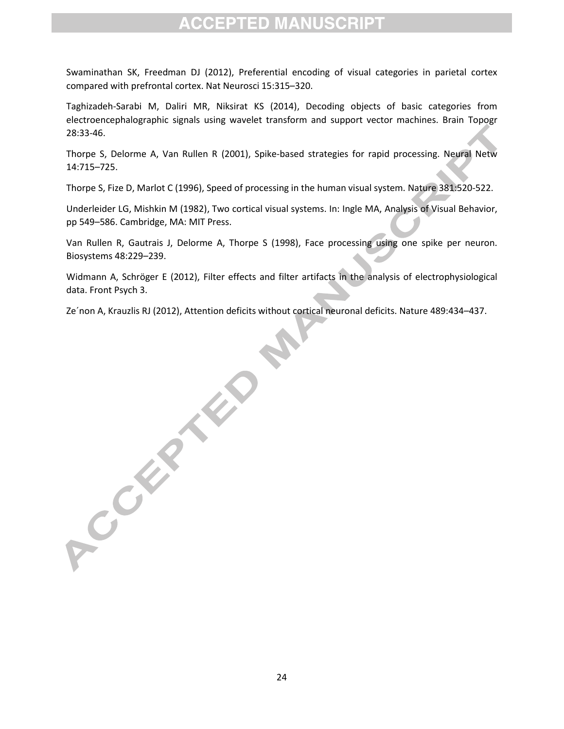Swaminathan SK, Freedman DJ (2012), Preferential encoding of visual categories in parietal cortex compared with prefrontal cortex. Nat Neurosci 15:315–320.

Taghizadeh-Sarabi M, Daliri MR, Niksirat KS (2014), Decoding objects of basic categories from electroencephalographic signals using wavelet transform and support vector machines. Brain Topogr 28:33-46.

Thorpe S, Delorme A, Van Rullen R (2001), Spike-based strategies for rapid processing. Neural Netw 14:715–725.

Thorpe S, Fize D, Marlot C (1996), Speed of processing in the human visual system. Nature 381:520-522.

Underleider LG, Mishkin M (1982), Two cortical visual systems. In: Ingle MA, Analysis of Visual Behavior, pp 549–586. Cambridge, MA: MIT Press.

Van Rullen R, Gautrais J, Delorme A, Thorpe S (1998), Face processing using one spike per neuron. Biosystems 48:229–239.

Widmann A, Schröger E (2012), Filter effects and filter artifacts in the analysis of electrophysiological data. Front Psych 3.

Ze´non A, Krauzlis RJ (2012), Attention deficits without cortical neuronal deficits. Nature 489:434–437.

ACCEPTED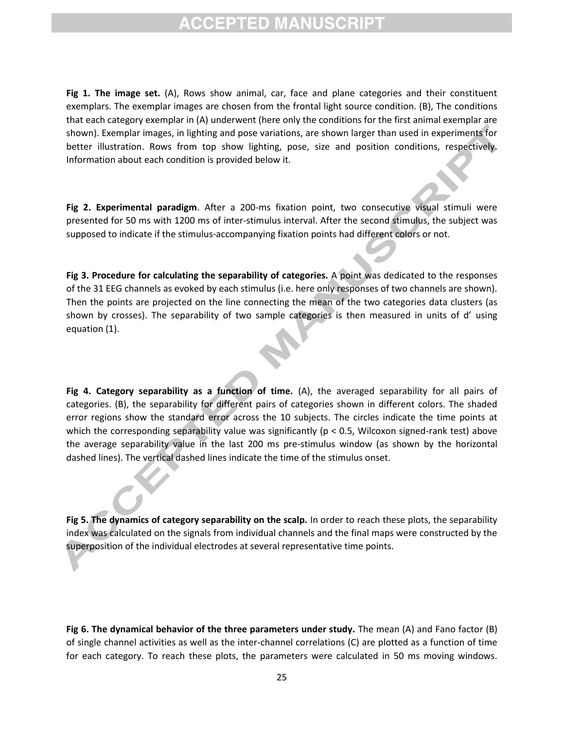**Fig 1. The image set.** (A), Rows show animal, car, face and plane categories and their constituent exemplars. The exemplar images are chosen from the frontal light source condition. (B), The conditions that each category exemplar in (A) underwent (here only the conditions for the first animal exemplar are shown). Exemplar images, in lighting and pose variations, are shown larger than used in experiments for better illustration. Rows from top show lighting, pose, size and position conditions, respectively. Information about each condition is provided below it.

**Fig 2. Experimental paradigm**. After a 200-ms fixation point, two consecutive visual stimuli were presented for 50 ms with 1200 ms of inter-stimulus interval. After the second stimulus, the subject was supposed to indicate if the stimulus-accompanying fixation points had different colors or not.

**Fig 3. Procedure for calculating the separability of categories.** A point was dedicated to the responses of the 31 EEG channels as evoked by each stimulus (i.e. here only responses of two channels are shown). Then the points are projected on the line connecting the mean of the two categories data clusters (as shown by crosses). The separability of two sample categories is then measured in units of d' using equation (1).

**Fig 4. Category separability as a function of time.** (A), the averaged separability for all pairs of categories. (B), the separability for different pairs of categories shown in different colors. The shaded error regions show the standard error across the 10 subjects. The circles indicate the time points at which the corresponding separability value was significantly ( $p < 0.5$ , Wilcoxon signed-rank test) above the average separability value in the last 200 ms pre-stimulus window (as shown by the horizontal dashed lines). The vertical dashed lines indicate the time of the stimulus onset.

**Fig 5. The dynamics of category separability on the scalp.** In order to reach these plots, the separability index was calculated on the signals from individual channels and the final maps were constructed by the superposition of the individual electrodes at several representative time points.

**Fig 6. The dynamical behavior of the three parameters under study.** The mean (A) and Fano factor (B) of single channel activities as well as the inter-channel correlations (C) are plotted as a function of time for each category. To reach these plots, the parameters were calculated in 50 ms moving windows.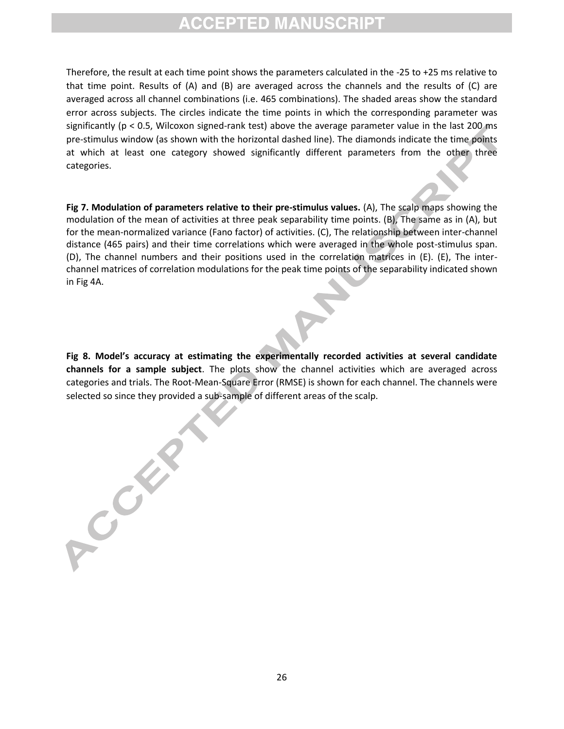Therefore, the result at each time point shows the parameters calculated in the -25 to +25 ms relative to that time point. Results of (A) and (B) are averaged across the channels and the results of (C) are averaged across all channel combinations (i.e. 465 combinations). The shaded areas show the standard error across subjects. The circles indicate the time points in which the corresponding parameter was significantly (p < 0.5, Wilcoxon signed-rank test) above the average parameter value in the last 200 ms pre-stimulus window (as shown with the horizontal dashed line). The diamonds indicate the time points at which at least one category showed significantly different parameters from the other three categories.

**Fig 7. Modulation of parameters relative to their pre-stimulus values.** (A), The scalp maps showing the modulation of the mean of activities at three peak separability time points. (B), The same as in (A), but for the mean-normalized variance (Fano factor) of activities. (C), The relationship between inter-channel distance (465 pairs) and their time correlations which were averaged in the whole post-stimulus span. (D), The channel numbers and their positions used in the correlation matrices in (E). (E), The interchannel matrices of correlation modulations for the peak time points of the separability indicated shown in Fig 4A.

**Fig 8. Model's accuracy at estimating the experimentally recorded activities at several candidate channels for a sample subject**. The plots show the channel activities which are averaged across categories and trials. The Root-Mean-Square Error (RMSE) is shown for each channel. The channels were selected so since they provided a sub-sample of different areas of the scalp.

CONT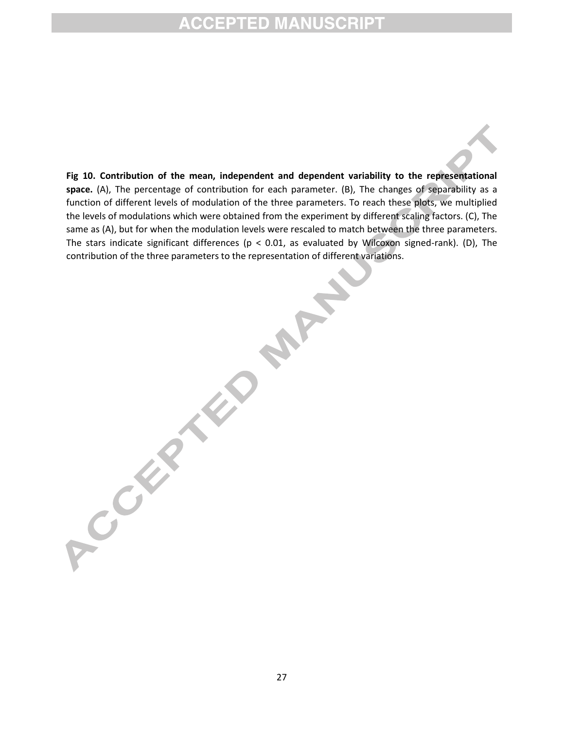**Fig 10. Contribution of the mean, independent and dependent variability to the representational space.** (A), The percentage of contribution for each parameter. (B), The changes of separability as a function of different levels of modulation of the three parameters. To reach these plots, we multiplied the levels of modulations which were obtained from the experiment by different scaling factors. (C), The same as (A), but for when the modulation levels were rescaled to match between the three parameters. The stars indicate significant differences ( $p < 0.01$ , as evaluated by Wilcoxon signed-rank). (D), The contribution of the three parameters to the representation of different variations.

**PAPA** 

A Cathyland